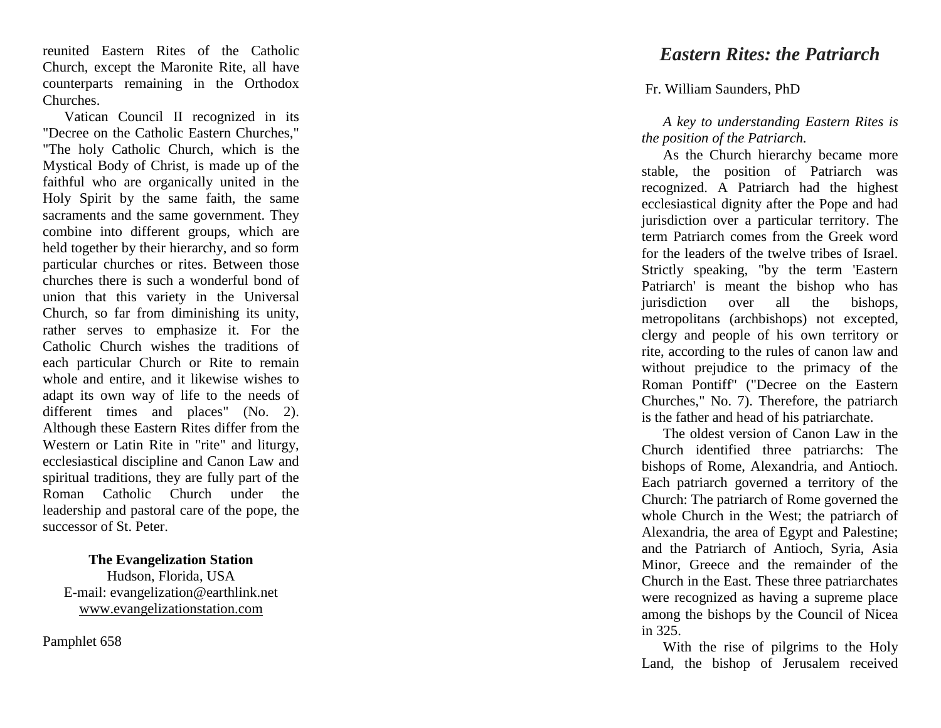reunited Eastern Rites of the Catholic Church, except the Maronite Rite, all have counterparts remaining in the Orthodox Churches.

Vatican Council II recognized in its "Decree on the Catholic Eastern Churches," "The holy Catholic Church, which is the Mystical Body of Christ, is made up of the faithful who are organically united in the Holy Spirit by the same faith, the same sacraments and the same government. They combine into different groups, which are held together by their hierarchy, and so form particular churches or rites. Between those churches there is such a wonderful bond of union that this variety in the Universal Church, so far from diminishing its unity, rather serves to emphasize it. For the Catholic Church wishes the traditions of each particular Church or Rite to remain whole and entire, and it likewise wishes to adapt its own way of life to the needs of different times and places" (No. 2). Although these Eastern Rites differ from the Western or Latin Rite in "rite" and liturgy, ecclesiastical discipline and Canon Law and spiritual traditions, they are fully part of the Roman Catholic Church under the leadership and pastoral care of the pope, the successor of St. Peter.

**The Evangelization Station** Hudson, Florida, USA E -mail: evangelization@earthlink.net [www.evangelizationstation.com](http://www.pjpiisoe.org/)

Pamphlet 65 8

## *Eastern Rites: the Patriarch*

## [Fr. William Saunders,](http://www.catholicculture.org/search/resultslist.cfm?requesttype=docbrowseauth&resourcetype=1&catlabel=author&catid=452) PhD

*A key to understanding Eastern Rites is the position of the Patriarch.*

As the Church hierarchy became more stable, the position of Patriarch was recognized. A Patriarch had the highest ecclesiastical dignity after the Pope and had jurisdiction over a particular territory. The term Patriarch comes from the Greek word for the leaders of the twelve tribes of Israel. Strictly speaking, "by the term 'Eastern Patriarch' is meant the bishop who has jurisdiction over all the bishops, metropolitans (archbishops) not excepted, clergy and people of his own territory or rite, according to the rules of canon law and without prejudice to the primacy of the Roman Pontiff" ("Decree on the Eastern Churches," No. 7). Therefore, the patriarch is the father and head of his patriarchate.

The oldest version of Canon Law in the Church identified three patriarchs: The bishops of Rome, Alexandria, and Antioch. Each patriarch governed a territory of the Church: The patriarch of Rome governed the whole Church in the West; the patriarch of Alexandria, the area of Egypt and Palestine; and the Patriarch of Antioch, Syria, Asia Minor, Greece and the remainder of the Church in the East. These three patriarchates were recognized as having a supreme place among the bishops by the Council of Nicea in 325.

With the rise of pilgrims to the Holy Land, the bishop of Jerusalem received